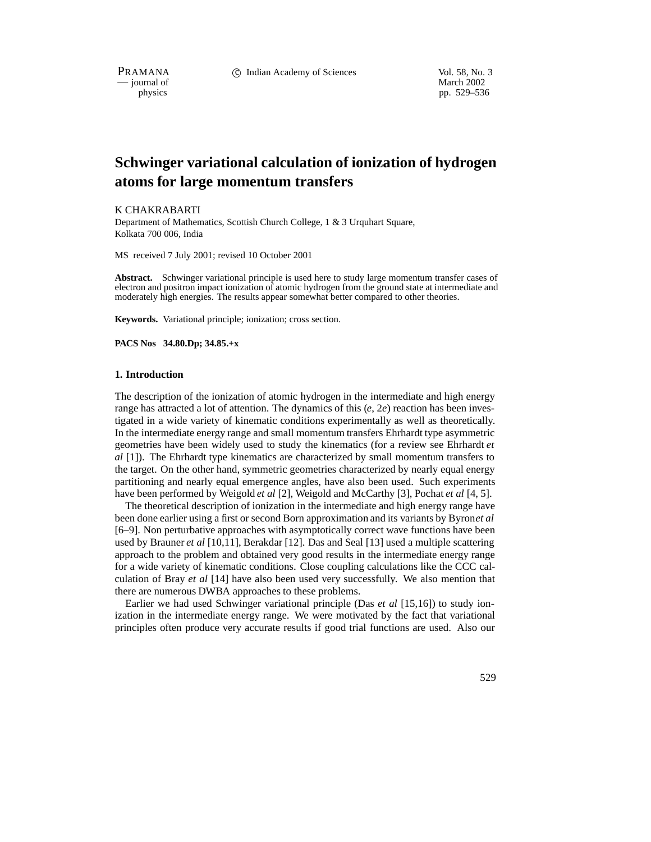PRAMANA 
<sup>c</sup> Indian Academy of Sciences 
<sup>Vol. 58, No. 3

<sup>c</sup> Vol. 58, No. 3
<sup>c</sup> Vol. 59, No. 3
<sup>1</sup></sup>

physics<br>
physics<br>
physics<br>
physics<br>
physics<br>
physics<br>
physics<br>
physics<br>
physics<br>
physics<br>
physics<br>
physics<br>
physics<br>
physics<br>
physics<br>
physics<br>
physics<br>
physics<br>
physics<br>
physics<br>
physics<br>
physics<br>
physics<br>
physics<br>
physic pp. 529–536

# **Schwinger variational calculation of ionization of hydrogen atoms for large momentum transfers**

K CHAKRABARTI Department of Mathematics, Scottish Church College, 1 & 3 Urquhart Square, Kolkata 700 006, India

MS received 7 July 2001; revised 10 October 2001

**Abstract.** Schwinger variational principle is used here to study large momentum transfer cases of electron and positron impact ionization of atomic hydrogen from the ground state at intermediate and moderately high energies. The results appear somewhat better compared to other theories.

**Keywords.** Variational principle; ionization; cross section.

**PACS Nos 34.80.Dp; 34.85.+x**

#### **1. Introduction**

The description of the ionization of atomic hydrogen in the intermediate and high energy range has attracted a lot of attention. The dynamics of this (*e*, 2*e*) reaction has been investigated in a wide variety of kinematic conditions experimentally as well as theoretically. In the intermediate energy range and small momentum transfers Ehrhardt type asymmetric geometries have been widely used to study the kinematics (for a review see Ehrhardt *et al* [1]). The Ehrhardt type kinematics are characterized by small momentum transfers to the target. On the other hand, symmetric geometries characterized by nearly equal energy partitioning and nearly equal emergence angles, have also been used. Such experiments have been performed by Weigold *et al* [2], Weigold and McCarthy [3], Pochat *et al* [4, 5].

The theoretical description of ionization in the intermediate and high energy range have been done earlier using a first or second Born approximation and its variants by Byron*et al* [6–9]. Non perturbative approaches with asymptotically correct wave functions have been used by Brauner *et al* [10,11], Berakdar [12]. Das and Seal [13] used a multiple scattering approach to the problem and obtained very good results in the intermediate energy range for a wide variety of kinematic conditions. Close coupling calculations like the CCC calculation of Bray *et al* [14] have also been used very successfully. We also mention that there are numerous DWBA approaches to these problems.

Earlier we had used Schwinger variational principle (Das *et al* [15,16]) to study ionization in the intermediate energy range. We were motivated by the fact that variational principles often produce very accurate results if good trial functions are used. Also our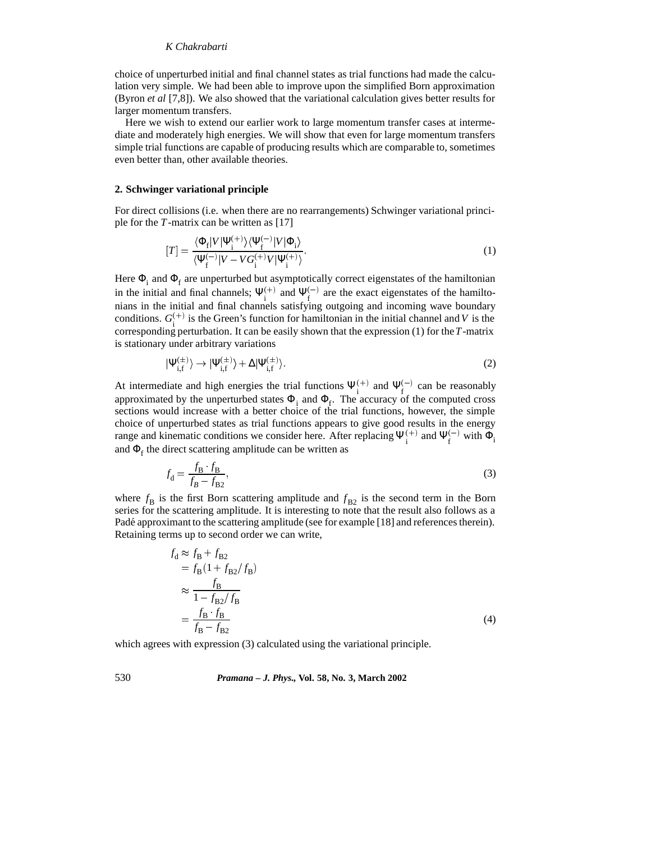# *K Chakrabarti*

choice of unperturbed initial and final channel states as trial functions had made the calculation very simple. We had been able to improve upon the simplified Born approximation (Byron *et al* [7,8]). We also showed that the variational calculation gives better results for larger momentum transfers.

Here we wish to extend our earlier work to large momentum transfer cases at intermediate and moderately high energies. We will show that even for large momentum transfers simple trial functions are capable of producing results which are comparable to, sometimes even better than, other available theories.

#### **2. Schwinger variational principle**

For direct collisions (i.e. when there are no rearrangements) Schwinger variational principle for the *T*-matrix can be written as [17]

$$
[T] = \frac{\langle \Phi_{\rm f} | V | \Psi_{\rm i}^{(+)} \rangle \langle \Psi_{\rm f}^{(-)} | V | \Phi_{\rm i} \rangle}{\langle \Psi_{\rm f}^{(-)} | V - V G_{\rm i}^{(+)} V | \Psi_{\rm i}^{(+)} \rangle}.
$$
 (1)

Here  $\Phi_i$  and  $\Phi_f$  are unperturbed but asymptotically correct eigenstates of the hamiltonian in the initial and final channels;  $\Psi_{i}^{(+)}$  and  $\Psi_{i}^{(-)}$  are the exact eigenstates of the hamiltonians in the initial and final channels satisfying outgoing and incoming wave boundary conditions.  $G_i^{(+)}$  is the Green's function for hamiltonian in the initial channel and *V* is the corresponding perturbation. It can be easily shown that the expression (1) for the*T*-matrix is stationary under arbitrary variations

$$
|\Psi_{i,f}^{(\pm)}\rangle \to |\Psi_{i,f}^{(\pm)}\rangle + \Delta |\Psi_{i,f}^{(\pm)}\rangle. \tag{2}
$$

At intermediate and high energies the trial functions  $\Psi_{i}^{(+)}$  and  $\Psi_{f}^{(-)}$  can be reasonably approximated by the unperturbed states  $\Phi_i$  and  $\Phi_f$ . The accuracy of the computed cross sections would increase with a better choice of the trial functions, however, the simple choice of unperturbed states as trial functions appears to give good results in the energy range and kinematic conditions we consider here. After replacing  $\Psi_i^{(+)}$  and  $\Psi_f^{(-)}$  with  $\Phi_i$ and  $\Phi_f$  the direct scattering amplitude can be written as

$$
f_{\rm d} = \frac{f_{\rm B} \cdot f_{\rm B}}{f_{\rm B} - f_{\rm B2}},\tag{3}
$$

where  $f_B$  is the first Born scattering amplitude and  $f_{B2}$  is the second term in the Born series for the scattering amplitude. It is interesting to note that the result also follows as a Padé approximant to the scattering amplitude (see for example [18] and references therein). Retaining terms up to second order we can write,

$$
f_{\rm d} \approx f_{\rm B} + f_{\rm B2}
$$
  
=  $f_{\rm B} (1 + f_{\rm B2}/f_{\rm B})$   

$$
\approx \frac{f_{\rm B}}{1 - f_{\rm B2}/f_{\rm B}}
$$
  
=  $\frac{f_{\rm B} f_{\rm B}}{f_{\rm B} - f_{\rm B2}}$  (4)

which agrees with expression (3) calculated using the variational principle.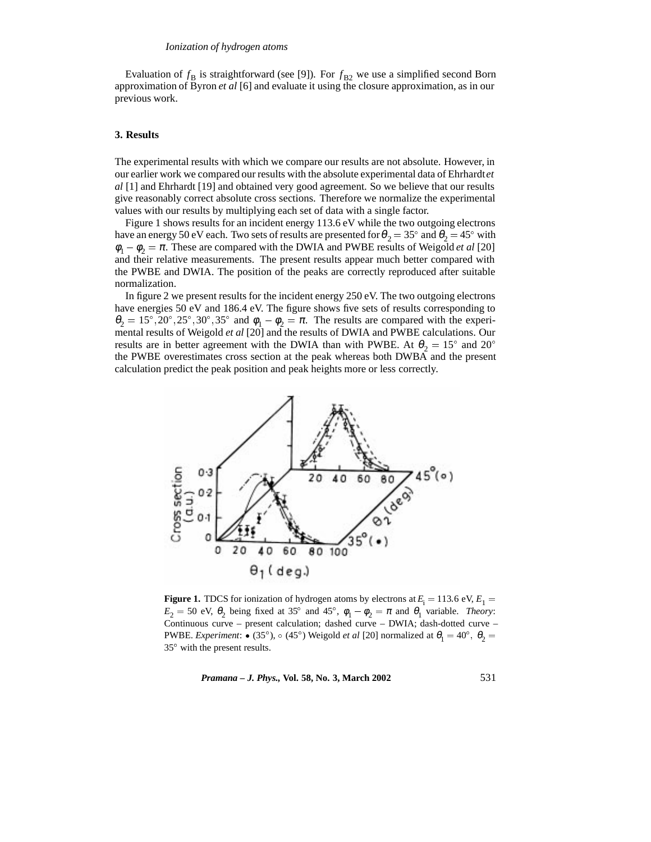Evaluation of  $f_B$  is straightforward (see [9]). For  $f_{B2}$  we use a simplified second Born approximation of Byron *et al* [6] and evaluate it using the closure approximation, as in our previous work.

### **3. Results**

The experimental results with which we compare our results are not absolute. However, in our earlier work we compared our results with the absolute experimental data of Ehrhardt*et al* [1] and Ehrhardt [19] and obtained very good agreement. So we believe that our results give reasonably correct absolute cross sections. Therefore we normalize the experimental values with our results by multiplying each set of data with a single factor.

Figure 1 shows results for an incident energy 113.6 eV while the two outgoing electrons have an energy 50 eV each. Two sets of results are presented for  $\theta_2 =$  35° and  $\theta_2 =$  45° with  $\phi_1 - \phi_2 = \pi$ . These are compared with the DWIA and PWBE results of Weigold *et al* [20] and their relative measurements. The present results appear much better compared with the PWBE and DWIA. The position of the peaks are correctly reproduced after suitable normalization.

In figure 2 we present results for the incident energy 250 eV. The two outgoing electrons have energies 50 eV and 186.4 eV. The figure shows five sets of results corresponding to  $\theta_2 = 15^{\circ}, 20^{\circ}, 25^{\circ}, 30^{\circ}, 35^{\circ}$  and  $\phi_1 - \phi_2 = \pi$ . The results are compared with the experimental results of Weigold *et al* [20] and the results of DWIA and PWBE calculations. Our results are in better agreement with the DWIA than with PWBE. At  $\theta_2 = 15^{\circ}$  and  $20^{\circ}$ the PWBE overestimates cross section at the peak whereas both DWBA and the present calculation predict the peak position and peak heights more or less correctly.



**Figure 1.** TDCS for ionization of hydrogen atoms by electrons at  $E_i = 113.6 \text{ eV}, E_1 =$  $E_2 = 50$  eV,  $\theta_2$  being fixed at 35° and 45°,  $\phi_1 - \phi_2 = \pi$  and  $\theta_1$  variable. *Theory*: Continuous curve – present calculation; dashed curve – DWIA; dash-dotted curve – **PWBE.** *Experiment*:  $\bullet$  (35°),  $\circ$  (45°) Weigold *et al* [20] normalized at  $\theta_1 = 40^\circ$ ,  $\theta_2 =$ 35 with the present results.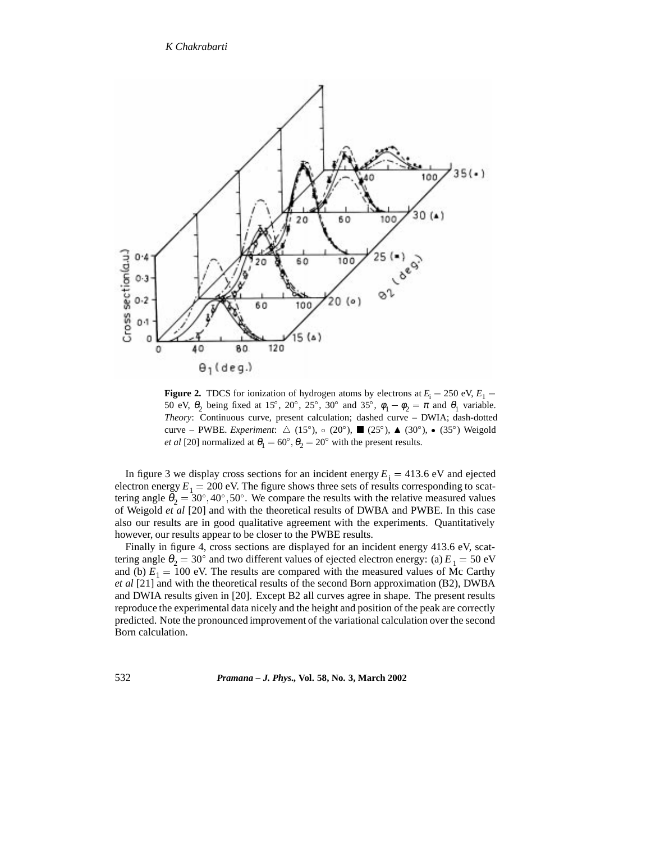### *K Chakrabarti*



**Figure 2.** TDCS for ionization of hydrogen atoms by electrons at  $E_i = 250$  eV,  $E_1 =$ 50 eV,  $\theta_2$  being fixed at 15°, 20°, 25°, 30° and 35°,  $\phi_1 - \phi_2 = \pi$  and  $\theta_1$  variable. *Theory*: Continuous curve, present calculation; dashed curve – DWIA; dash-dotted curve – PWBE. *Experiment*:  $\triangle$  (15°),  $\circ$  (20°),  $\blacksquare$  (25°),  $\blacktriangle$  (30°),  $\bullet$  (35°) Weigold *et al* [20] normalized at  $\theta_1 = 60^\circ$ ,  $\theta_2 = 20^\circ$  with the present results.

In figure 3 we display cross sections for an incident energy  $E_i = 413.6 \text{ eV}$  and ejected electron energy  $E_1 = 200$  eV. The figure shows three sets of results corresponding to scattering angle  $\theta_2 = 30^{\circ}, 40^{\circ}, 50^{\circ}$ . We compare the results with the relative measured values of Weigold *et al* [20] and with the theoretical results of DWBA and PWBE. In this case also our results are in good qualitative agreement with the experiments. Quantitatively however, our results appear to be closer to the PWBE results.

Finally in figure 4, cross sections are displayed for an incident energy 413.6 eV, scattering angle  $\theta_2 = 30^\circ$  and two different values of ejected electron energy: (a)  $E_1 = 50 \text{ eV}$ and (b)  $E_1 = 100$  eV. The results are compared with the measured values of Mc Carthy *et al* [21] and with the theoretical results of the second Born approximation (B2), DWBA and DWIA results given in [20]. Except B2 all curves agree in shape. The present results reproduce the experimental data nicely and the height and position of the peak are correctly predicted. Note the pronounced improvement of the variational calculation over the second Born calculation.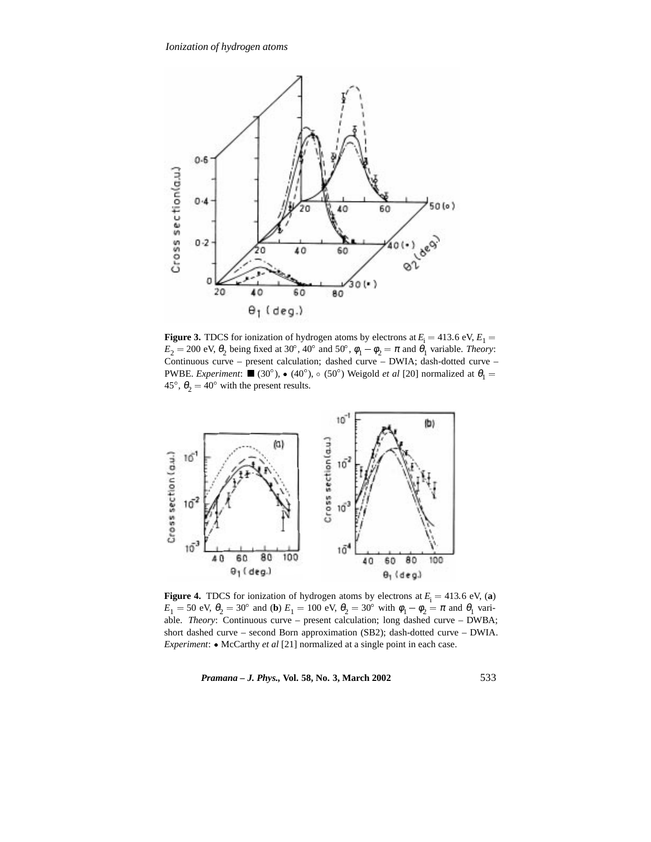

**Figure 3.** TDCS for ionization of hydrogen atoms by electrons at  $E_i = 413.6 \text{ eV}, E_1 =$  $E_2 = 200 \text{ eV}, \theta_2 \text{ being fixed at } 30^{\circ}, 40^{\circ} \text{ and } 50^{\circ}, \phi_1 - \phi_2 = \pi \text{ and } \theta_1 \text{ variable. } Theory:$ Continuous curve – present calculation; dashed curve – DWIA; dash-dotted curve – **PWBE.** *Experiment*:  $\blacksquare$  (30°),  $\bullet$  (40°),  $\circ$  (50°) Weigold *et al* [20] normalized at  $\theta_1 =$ 45°,  $\theta_2 = 40^\circ$  with the present results.



**Figure 4.** TDCS for ionization of hydrogen atoms by electrons at  $E_i = 413.6$  eV, (a)  $E_1 = 50$  eV,  $\theta_2 = 30^{\circ}$  and (**b**)  $E_1 = 100$  eV,  $\theta_2 = 30^{\circ}$  with  $\phi_1 - \phi_2 = \pi$  and  $\theta_1$  variable. *Theory*: Continuous curve – present calculation; long dashed curve – DWBA; short dashed curve – second Born approximation (SB2); dash-dotted curve – DWIA. *Experiment*:  $\bullet$  McCarthy *et al* [21] normalized at a single point in each case.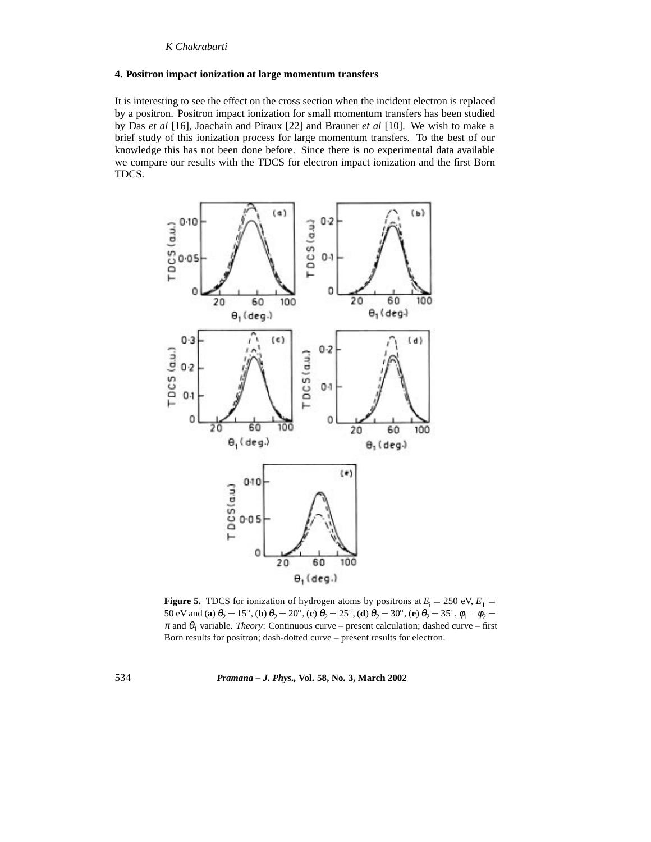### **4. Positron impact ionization at large momentum transfers**

It is interesting to see the effect on the cross section when the incident electron is replaced by a positron. Positron impact ionization for small momentum transfers has been studied by Das *et al* [16], Joachain and Piraux [22] and Brauner *et al* [10]. We wish to make a brief study of this ionization process for large momentum transfers. To the best of our knowledge this has not been done before. Since there is no experimental data available we compare our results with the TDCS for electron impact ionization and the first Born TDCS.



**Figure 5.** TDCS for ionization of hydrogen atoms by positrons at  $E_i = 250$  eV,  $E_1 =$ 50 eV and (**a**)  $\theta_2 = 15^\circ$ , (**b**)  $\theta_2 = 20^\circ$ , (**c**)  $\theta_2 = 25^\circ$ , (**d**)  $\theta_2 = 30^\circ$ , (**e**)  $\theta_2 = 35^\circ$ ,  $\phi_1 - \phi_2 =$  $\pi$  and  $\theta_1$  variable. *Theory*: Continuous curve – present calculation; dashed curve – first Born results for positron; dash-dotted curve – present results for electron.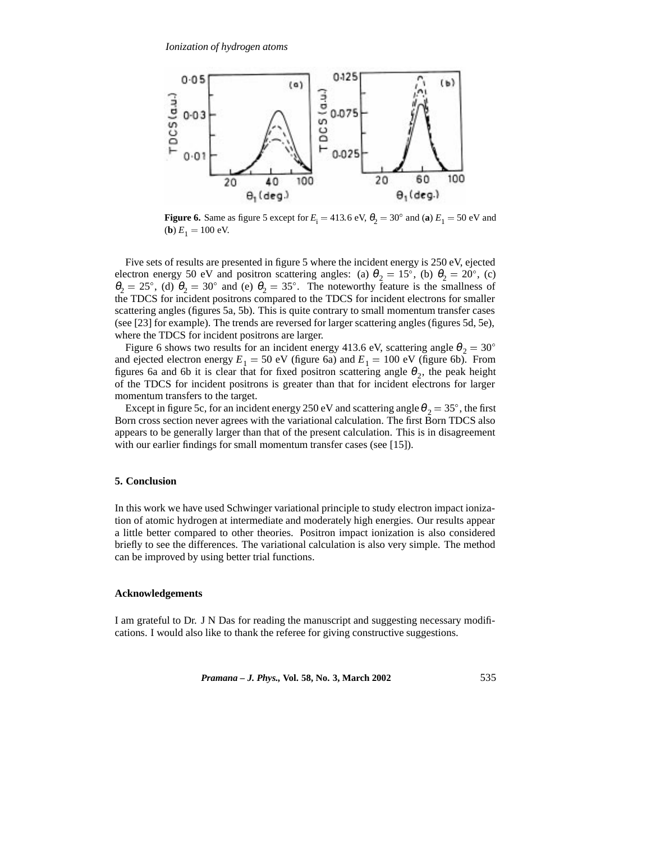

**Figure 6.** Same as figure 5 except for  $E_i = 413.6 \text{ eV}$ ,  $\theta_2 = 30^\circ$  and (a)  $E_1 = 50 \text{ eV}$  and (**b**)  $E_1 = 100$  eV.

Five sets of results are presented in figure 5 where the incident energy is 250 eV, ejected electron energy 50 eV and positron scattering angles: (a)  $\theta_2 = 15^\circ$ , (b)  $\theta_2 = 20^\circ$ , (c)  $\theta_2 = 25^\circ$ , (d)  $\theta_2 = 30^\circ$  and (e)  $\theta_2 = 35^\circ$ . The noteworthy feature is the smallness of the TDCS for incident positrons compared to the TDCS for incident electrons for smaller scattering angles (figures 5a, 5b). This is quite contrary to small momentum transfer cases (see [23] for example). The trends are reversed for larger scattering angles (figures 5d, 5e), where the TDCS for incident positrons are larger.

Figure 6 shows two results for an incident energy 413.6 eV, scattering angle  $\theta_2 = 30^{\circ}$ and ejected electron energy  $E_1 = 50$  eV (figure 6a) and  $E_1 = 100$  eV (figure 6b). From figures 6a and 6b it is clear that for fixed positron scattering angle  $\theta_2$ , the peak height of the TDCS for incident positrons is greater than that for incident electrons for larger momentum transfers to the target.

Except in figure 5c, for an incident energy 250 eV and scattering angle  $\theta_2 = 35^\circ$ , the first Born cross section never agrees with the variational calculation. The first Born TDCS also appears to be generally larger than that of the present calculation. This is in disagreement with our earlier findings for small momentum transfer cases (see [15]).

#### **5. Conclusion**

In this work we have used Schwinger variational principle to study electron impact ionization of atomic hydrogen at intermediate and moderately high energies. Our results appear a little better compared to other theories. Positron impact ionization is also considered briefly to see the differences. The variational calculation is also very simple. The method can be improved by using better trial functions.

#### **Acknowledgements**

I am grateful to Dr. J N Das for reading the manuscript and suggesting necessary modifications. I would also like to thank the referee for giving constructive suggestions.